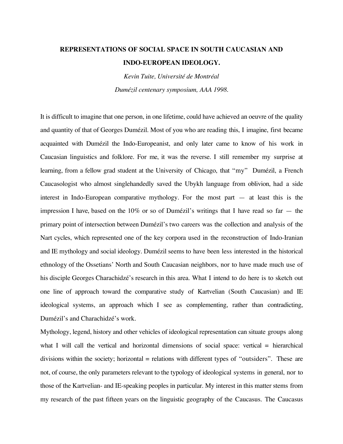## **REPRESENTATIONS OF SOCIAL SPACE IN SOUTH CAUCASIAN AND INDO-EUROPEAN IDEOLOGY.**

*Kevin Tuite, Université de Montréal Dumézil centenary symposium, AAA 1998.*

It is difficult to imagine that one person, in one lifetime, could have achieved an oeuvre of the quality and quantity of that of Georges Dumézil. Most of you who are reading this, I imagine, first became acquainted with Dumézil the Indo-Europeanist, and only later came to know of his work in Caucasian linguistics and folklore. For me, it was the reverse. I still remember my surprise at learning, from a fellow grad student at the University of Chicago, that "my" Dumézil, a French Caucasologist who almost singlehandedly saved the Ubykh language from oblivion, had a side interest in Indo-European comparative mythology. For the most part — at least this is the impression I have, based on the  $10\%$  or so of Dumézil's writings that I have read so far  $-$  the primary point of intersection between Dumézil's two careers was the collection and analysis of the Nart cycles, which represented one of the key corpora used in the reconstruction of Indo-Iranian and IE mythology and social ideology. Dumézil seems to have been less interested in the historical ethnology of the Ossetians' North and South Caucasian neighbors, nor to have made much use of his disciple Georges Charachidzé's research in this area. What I intend to do here is to sketch out one line of approach toward the comparative study of Kartvelian (South Caucasian) and IE ideological systems, an approach which I see as complementing, rather than contradicting, Dumézil's and Charachidzé's work.

Mythology, legend, history and other vehicles of ideological representation can situate groups along what I will call the vertical and horizontal dimensions of social space: vertical = hierarchical divisions within the society; horizontal  $=$  relations with different types of "outsiders". These are not, of course, the only parameters relevant to the typology of ideological systems in general, nor to those of the Kartvelian- and IE-speaking peoples in particular. My interest in this matter stems from my research of the past fifteen years on the linguistic geography of the Caucasus. The Caucasus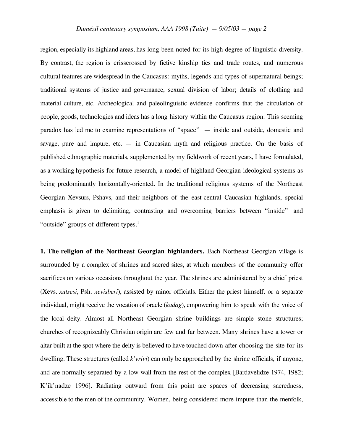region, especially its highland areas, has long been noted for its high degree of linguistic diversity. By contrast, the region is crisscrossed by fictive kinship ties and trade routes, and numerous cultural features are widespread in the Caucasus: myths, legends and types of supernatural beings; traditional systems of justice and governance, sexual division of labor; details of clothing and material culture, etc. Archeological and paleolinguistic evidence confirms that the circulation of people, goods, technologies and ideas has a long history within the Caucasus region. This seeming paradox has led me to examine representations of "space" — inside and outside, domestic and savage, pure and impure, etc.  $-$  in Caucasian myth and religious practice. On the basis of published ethnographic materials, supplemented by my fieldwork of recent years, I have formulated, as a working hypothesis for future research, a model of highland Georgian ideological systems as being predominantly horizontally-oriented. In the traditional religious systems of the Northeast Georgian Xevsurs, Pshavs, and their neighbors of the east-central Caucasian highlands, special emphasis is given to delimiting, contrasting and overcoming barriers between "inside" and "outside" groups of different types.<sup>1</sup>

**1. The religion of the Northeast Georgian highlanders.** Each Northeast Georgian village is surrounded by a complex of shrines and sacred sites, at which members of the community offer sacrifices on various occasions throughout the year. The shrines are administered by a chief priest (Xevs. *xutsesi*, Psh. *xevisberi*), assisted by minor officials. Either the priest himself, or a separate individual, might receive the vocation of oracle (*kadag*), empowering him to speak with the voice of the local deity. Almost all Northeast Georgian shrine buildings are simple stone structures; churches of recognizeably Christian origin are few and far between. Many shrines have a tower or altar built at the spot where the deity is believed to have touched down after choosing the site for its dwelling. These structures (called *k'vrivi*) can only be approached by the shrine officials, if anyone, and are normally separated by a low wall from the rest of the complex [Bardavelidze 1974, 1982; K'ik'nadze 1996]. Radiating outward from this point are spaces of decreasing sacredness, accessible to the men of the community. Women, being considered more impure than the menfolk,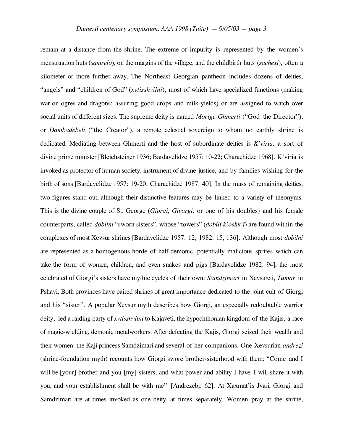remain at a distance from the shrine. The extreme of impurity is represented by the women's menstruation huts (*samrelo*), on the margins of the village, and the childbirth huts (*sachexi*), often a kilometer or more further away. The Northeast Georgian pantheon includes dozens of deities, "angels" and "children of God" (*xvtisshvilni*), most of which have specialized functions (making war on ogres and dragons; assuring good crops and milk-yields) or are assigned to watch over social units of different sizes. The supreme deity is named *Morige Ghmerti* ("God the Director"), or *Dambadebeli* ("the Creator"), a remote celestial sovereign to whom no earthly shrine is dedicated. Mediating between Ghmerti and the host of subordinate deities is *K'viria,* a sort of divine prime minister [Bleichsteiner 1936; Bardavelidze 1957: 10-22; Charachidzé 1968]. K'viria is invoked as protector of human society, instrument of divine justice, and by families wishing for the birth of sons [Bardavelidze 1957: 19-20; Charachidzé 1987: 40]. In the mass of remaining deities, two figures stand out, although their distinctive features may be linked to a variety of theonyms. This is the divine couple of St. George (*Giorgi, Givargi,* or one of his doubles) and his female counterparts, called *dobilni* "sworn sisters", whose "towers" (*dobilt k'oshk'i*) are found within the complexes of most Xevsur shrines [Bardavelidze 1957: 12; 1982: 15, 136]. Although most *dobilni* are represented as a homogenous horde of half-demonic, potentially malicious sprites which can take the form of women, children, and even snakes and pigs [Bardavelidze 1982: 94], the most celebrated of Giorgi's sisters have mythic cycles of their own: *Samdzimari* in Xevsureti, *Tamar* in Pshavi. Both provinces have paired shrines of great importance dedicated to the joint cult of Giorgi and his "sister". A popular Xevsur myth describes how Giorgi, an especially redoubtable warrior deity, led a raiding party of *xvtisshvilni* to Kajaveti, the hypochthonian kingdom of the Kajis, a race of magic-wielding, demonic metalworkers. After defeating the Kajis, Giorgi seized their wealth and their women: the Kaji princess Samdzimari and several of her companions. One Xevsurian *andrezi* (shrine-foundation myth) recounts how Giorgi swore brother-sisterhood with them: "Come and I will be [your] brother and you [my] sisters, and what power and ability I have, I will share it with you, and your establishment shall be with me" [Andrezebi: 62]. At Xaxmat'is Jvari, Giorgi and Samdzimari are at times invoked as one deity, at times separately. Women pray at the shrine,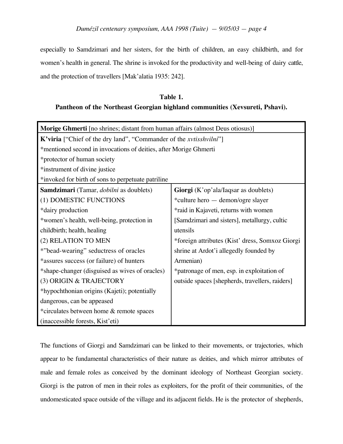*Dumézil centenary symposium, AAA 1998 (Tuite) — 9/05/03 — page 4*

especially to Samdzimari and her sisters, for the birth of children, an easy childbirth, and for women's health in general. The shrine is invoked for the productivity and well-being of dairy cattle, and the protection of travellers [Mak'alatia 1935: 242].

## **Table 1. Pantheon of the Northeast Georgian highland communities (Xevsureti, Pshavi).**

| <b>Morige Ghmerti</b> [no shrines; distant from human affairs (almost Deus otiosus)] |                                                 |  |
|--------------------------------------------------------------------------------------|-------------------------------------------------|--|
| K'viria ["Chief of the dry land", "Commander of the <i>xvtisshvilni</i> "]           |                                                 |  |
| *mentioned second in invocations of deities, after Morige Ghmerti                    |                                                 |  |
| *protector of human society                                                          |                                                 |  |
| *instrument of divine justice                                                        |                                                 |  |
| *invoked for birth of sons to perpetuate patriline                                   |                                                 |  |
| Samdzimari (Tamar, dobilni as doublets)                                              | Giorgi (K'op'ala/Iaqsar as doublets)            |  |
| (1) DOMESTIC FUNCTIONS                                                               | *culture hero — demon/ogre slayer               |  |
| *dairy production                                                                    | *raid in Kajaveti, returns with women           |  |
| *women's health, well-being, protection in                                           | [Samdzimari and sisters], metallurgy, cultic    |  |
| childbirth; health, healing                                                          | utensils                                        |  |
| (2) RELATION TO MEN                                                                  | *foreign attributes (Kist' dress, Somxoz Giorgi |  |
| *"bead-wearing" seductress of oracles                                                | shrine at Ardot'i allegedly founded by          |  |
| *assures success (or failure) of hunters                                             | Armenian)                                       |  |
| *shape-changer (disguised as wives of oracles)                                       | *patronage of men, esp. in exploitation of      |  |
| (3) ORIGIN & TRAJECTORY                                                              | outside spaces [shepherds, travellers, raiders] |  |
| *hypochthonian origins (Kajeti); potentially                                         |                                                 |  |
| dangerous, can be appeased                                                           |                                                 |  |
| *circulates between home & remote spaces                                             |                                                 |  |
| (inaccessible forests, Kist'eti)                                                     |                                                 |  |

The functions of Giorgi and Samdzimari can be linked to their movements, or trajectories, which appear to be fundamental characteristics of their nature as deities, and which mirror attributes of male and female roles as conceived by the dominant ideology of Northeast Georgian society. Giorgi is the patron of men in their roles as exploiters, for the profit of their communities, of the undomesticated space outside of the village and its adjacent fields. He is the protector of shepherds,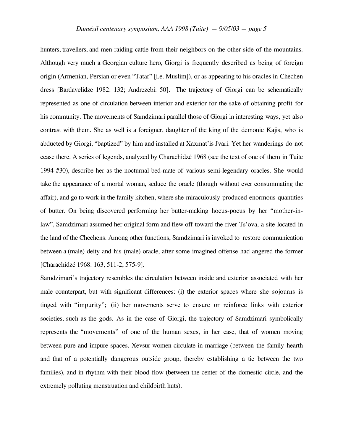hunters, travellers, and men raiding cattle from their neighbors on the other side of the mountains. Although very much a Georgian culture hero, Giorgi is frequently described as being of foreign origin (Armenian, Persian or even "Tatar" [i.e. Muslim]), or as appearing to his oracles in Chechen dress [Bardavelidze 1982: 132; Andrezebi: 50]. The trajectory of Giorgi can be schematically represented as one of circulation between interior and exterior for the sake of obtaining profit for his community. The movements of Samdzimari parallel those of Giorgi in interesting ways, yet also contrast with them. She as well is a foreigner, daughter of the king of the demonic Kajis, who is abducted by Giorgi, "baptized" by him and installed at Xaxmat'is Jvari. Yet her wanderings do not cease there. A series of legends, analyzed by Charachidzé 1968 (see the text of one of them in Tuite 1994 #30), describe her as the nocturnal bed-mate of various semi-legendary oracles. She would take the appearance of a mortal woman, seduce the oracle (though without ever consummating the affair), and go to work in the family kitchen, where she miraculously produced enormous quantities of butter. On being discovered performing her butter-making hocus-pocus by her "mother-inlaw", Samdzimari assumed her original form and flew off toward the river Ts'ova, a site located in the land of the Chechens. Among other functions, Samdzimari is invoked to restore communication between a (male) deity and his (male) oracle, after some imagined offense had angered the former [Charachidzé 1968: 163, 511-2, 575-9].

Samdzimari's trajectory resembles the circulation between inside and exterior associated with her male counterpart, but with significant differences: (i) the exterior spaces where she sojourns is tinged with "impurity"; (ii) her movements serve to ensure or reinforce links with exterior societies, such as the gods. As in the case of Giorgi, the trajectory of Samdzimari symbolically represents the "movements" of one of the human sexes, in her case, that of women moving between pure and impure spaces. Xevsur women circulate in marriage (between the family hearth and that of a potentially dangerous outside group, thereby establishing a tie between the two families), and in rhythm with their blood flow (between the center of the domestic circle, and the extremely polluting menstruation and childbirth huts).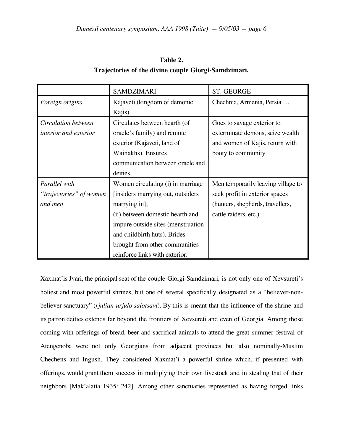| Table 2.                                             |  |  |
|------------------------------------------------------|--|--|
| Trajectories of the divine couple Giorgi-Samdzimari. |  |  |

|                         | <b>SAMDZIMARI</b>                  | ST. GEORGE                         |
|-------------------------|------------------------------------|------------------------------------|
| Foreign origins         | Kajaveti (kingdom of demonic       | Chechnia, Armenia, Persia          |
|                         | Kajis)                             |                                    |
| Circulation between     | Circulates between hearth (of      | Goes to savage exterior to         |
| interior and exterior   | oracle's family) and remote        | exterminate demons, seize wealth   |
|                         | exterior (Kajaveti, land of        | and women of Kajis, return with    |
|                         | Wainakhs). Ensures                 | booty to community                 |
|                         | communication between oracle and   |                                    |
|                         | deities.                           |                                    |
| Parallel with           | Women circulating (i) in marriage  | Men temporarily leaving village to |
| "trajectories" of women | [insiders marrying out, outsiders] | seek profit in exterior spaces     |
| and men                 | marrying in];                      | (hunters, shepherds, travellers,   |
|                         | (ii) between domestic hearth and   | cattle raiders, etc.)              |
|                         | impure outside sites (menstruation |                                    |
|                         | and childbirth huts). Brides       |                                    |
|                         | brought from other communities     |                                    |
|                         | reinforce links with exterior.     |                                    |

Xaxmat'is Jvari, the principal seat of the couple Giorgi-Samdzimari, is not only one of Xevsureti's holiest and most powerful shrines, but one of several specifically designated as a "believer-nonbeliever sanctuary" (*rjulian-urjulo salotsavi*). By this is meant that the influence of the shrine and its patron deities extends far beyond the frontiers of Xevsureti and even of Georgia. Among those coming with offerings of bread, beer and sacrifical animals to attend the great summer festival of Atengenoba were not only Georgians from adjacent provinces but also nominally-Muslim Chechens and Ingush. They considered Xaxmat'i a powerful shrine which, if presented with offerings, would grant them success in multiplying their own livestock and in stealing that of their neighbors [Mak'alatia 1935: 242]. Among other sanctuaries represented as having forged links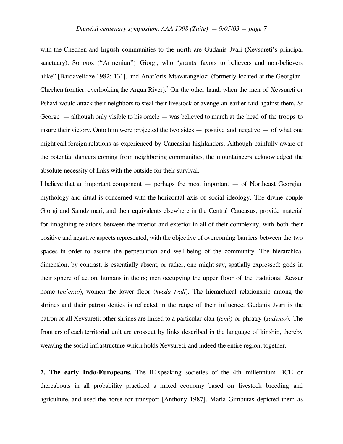with the Chechen and Ingush communities to the north are Gudanis Jvari (Xevsureti's principal sanctuary), Somxoz ("Armenian") Giorgi, who "grants favors to believers and non-believers alike" [Bardavelidze 1982: 131], and Anat'oris Mtavarangelozi (formerly located at the Georgian-Chechen frontier, overlooking the Argun River).<sup>2</sup> On the other hand, when the men of Xevsureti or Pshavi would attack their neighbors to steal their livestock or avenge an earlier raid against them, St George — although only visible to his oracle — was believed to march at the head of the troops to insure their victory. Onto him were projected the two sides — positive and negative — of what one might call foreign relations as experienced by Caucasian highlanders. Although painfully aware of the potential dangers coming from neighboring communities, the mountaineers acknowledged the absolute necessity of links with the outside for their survival.

I believe that an important component — perhaps the most important — of Northeast Georgian mythology and ritual is concerned with the horizontal axis of social ideology. The divine couple Giorgi and Samdzimari, and their equivalents elsewhere in the Central Caucasus, provide material for imagining relations between the interior and exterior in all of their complexity, with both their positive and negative aspects represented, with the objective of overcoming barriers between the two spaces in order to assure the perpetuation and well-being of the community. The hierarchical dimension, by contrast, is essentially absent, or rather, one might say, spatially expressed: gods in their sphere of action, humans in theirs; men occupying the upper floor of the traditional Xevsur home (*ch'erxo*), women the lower floor (*kveda tvali*). The hierarchical relationship among the shrines and their patron deities is reflected in the range of their influence. Gudanis Jvari is the patron of all Xevsureti; other shrines are linked to a particular clan (*temi*) or phratry (*sadzmo*). The frontiers of each territorial unit are crosscut by links described in the language of kinship, thereby weaving the social infrastructure which holds Xevsureti, and indeed the entire region, together.

**2. The early Indo-Europeans.** The IE-speaking societies of the 4th millennium BCE or thereabouts in all probability practiced a mixed economy based on livestock breeding and agriculture, and used the horse for transport [Anthony 1987]. Maria Gimbutas depicted them as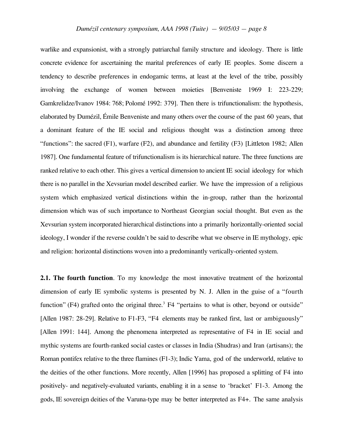warlike and expansionist, with a strongly patriarchal family structure and ideology. There is little concrete evidence for ascertaining the marital preferences of early IE peoples. Some discern a tendency to describe preferences in endogamic terms, at least at the level of the tribe, possibly involving the exchange of women between moieties [Benveniste 1969 I: 223-229; Gamkrelidze/Ivanov 1984: 768; Polomé 1992: 379]. Then there is trifunctionalism: the hypothesis, elaborated by Dumézil, Émile Benveniste and many others over the course of the past 60 years, that a dominant feature of the IE social and religious thought was a distinction among three "functions": the sacred  $(F1)$ , warfare  $(F2)$ , and abundance and fertility  $(F3)$  [Littleton 1982; Allen 1987]. One fundamental feature of trifunctionalism is its hierarchical nature. The three functions are ranked relative to each other. This gives a vertical dimension to ancient IE social ideology for which there is no parallel in the Xevsurian model described earlier. We have the impression of a religious system which emphasized vertical distinctions within the in-group, rather than the horizontal dimension which was of such importance to Northeast Georgian social thought. But even as the Xevsurian system incorporated hierarchical distinctions into a primarily horizontally-oriented social ideology, I wonder if the reverse couldn't be said to describe what we observe in IE mythology, epic and religion: horizontal distinctions woven into a predominantly vertically-oriented system.

**2.1. The fourth function**. To my knowledge the most innovative treatment of the horizontal dimension of early IE symbolic systems is presented by N. J. Allen in the guise of a "fourth function" (F4) grafted onto the original three.<sup>3</sup> F4 "pertains to what is other, beyond or outside" [Allen 1987: 28-29]. Relative to F1-F3, "F4 elements may be ranked first, last or ambiguously" [Allen 1991: 144]. Among the phenomena interpreted as representative of F4 in IE social and mythic systems are fourth-ranked social castes or classes in India (Shudras) and Iran (artisans); the Roman pontifex relative to the three flamines (F1-3); Indic Yama, god of the underworld, relative to the deities of the other functions. More recently, Allen [1996] has proposed a splitting of F4 into positively- and negatively-evaluated variants, enabling it in a sense to 'bracket' F1-3. Among the gods, IE sovereign deities of the Varuna-type may be better interpreted as F4+. The same analysis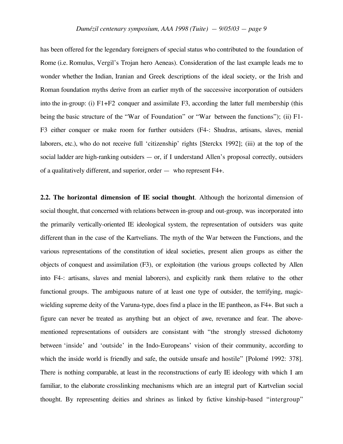has been offered for the legendary foreigners of special status who contributed to the foundation of Rome (i.e. Romulus, Vergil's Trojan hero Aeneas). Consideration of the last example leads me to wonder whether the Indian, Iranian and Greek descriptions of the ideal society, or the Irish and Roman foundation myths derive from an earlier myth of the successive incorporation of outsiders into the in-group: (i) F1+F2 conquer and assimilate F3, according the latter full membership (this being the basic structure of the "War of Foundation" or "War between the functions"); (ii) F1- F3 either conquer or make room for further outsiders (F4-: Shudras, artisans, slaves, menial laborers, etc.), who do not receive full 'citizenship' rights [Sterckx 1992]; (iii) at the top of the social ladder are high-ranking outsiders — or, if I understand Allen's proposal correctly, outsiders of a qualitatively different, and superior, order — who represent F4+.

**2.2. The horizontal dimension of IE social thought**. Although the horizontal dimension of social thought, that concerned with relations between in-group and out-group, was incorporated into the primarily vertically-oriented IE ideological system, the representation of outsiders was quite different than in the case of the Kartvelians. The myth of the War between the Functions, and the various representations of the constitution of ideal societies, present alien groups as either the objects of conquest and assimilation (F3), or exploitation (the various groups collected by Allen into F4-: artisans, slaves and menial laborers), and explicitly rank them relative to the other functional groups. The ambiguous nature of at least one type of outsider, the terrifying, magicwielding supreme deity of the Varuna-type, does find a place in the IE pantheon, as F4+. But such a figure can never be treated as anything but an object of awe, reverance and fear. The abovementioned representations of outsiders are consistant with "the strongly stressed dichotomy between 'inside' and 'outside' in the Indo-Europeans' vision of their community, according to which the inside world is friendly and safe, the outside unsafe and hostile" [Polomé 1992: 378]. There is nothing comparable, at least in the reconstructions of early IE ideology with which I am familiar, to the elaborate crosslinking mechanisms which are an integral part of Kartvelian social thought. By representing deities and shrines as linked by fictive kinship-based "intergroup"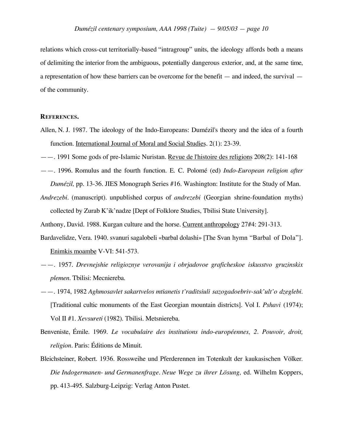relations which cross-cut territorially-based "intragroup" units, the ideology affords both a means of delimiting the interior from the ambiguous, potentially dangerous exterior, and, at the same time, a representation of how these barriers can be overcome for the benefit — and indeed, the survival of the community.

## **REFERENCES.**

- Allen, N. J. 1987. The ideology of the Indo-Europeans: Dumézil's theory and the idea of a fourth function. International Journal of Moral and Social Studies. 2(1): 23-39.
- ——. 1991 Some gods of pre-Islamic Nuristan. Revue de l'histoire des religions 208(2): 141-168
- ——. 1996. Romulus and the fourth function. E. C. Polomé (ed) *Indo-European religion after Dumézil,* pp. 13-36. JIES Monograph Series #16. Washington: Institute for the Study of Man.
- *Andrezebi.* (manuscript). unpublished corpus of *andrezebi* (Georgian shrine-foundation myths) collected by Zurab K'ik'nadze [Dept of Folklore Studies, Tbilisi State University].
- Anthony, David. 1988. Kurgan culture and the horse. Current anthropology 27#4: 291-313.
- Bardavelidze, Vera. 1940. svanuri sagalobeli «barbal dolashi» [The Svan hymn "Barbal of Dola"]. Enimkis moambe V-VI: 541-573.
- ——. 1957. *Drevnejshie religioznye verovanija i obrjadovoe graficheskoe iskusstvo gruzinskix plemen.* Tbilisi: Mecniereba.
- ——. 1974, 1982 *Aghmosavlet sakartvelos mtianetis t'raditsiuli sazogadoebriv-sak'ult'o dzeglebi.* [Traditional cultic monuments of the East Georgian mountain districts]. Vol I. *Pshavi* (1974); Vol II #1. *Xevsureti* (1982). Tbilisi. Metsniereba.
- Benveniste, Émile. 1969. *Le vocabulaire des institutions indo-européennes, 2. Pouvoir, droit, religion.* Paris: Éditions de Minuit.
- Bleichsteiner, Robert. 1936. Rossweihe und Pferderennen im Totenkult der kaukasischen Völker. *Die Indogermanen- und Germanenfrage. Neue Wege zu ihrer Lösung,* ed. Wilhelm Koppers, pp. 413-495. Salzburg-Leipzig: Verlag Anton Pustet.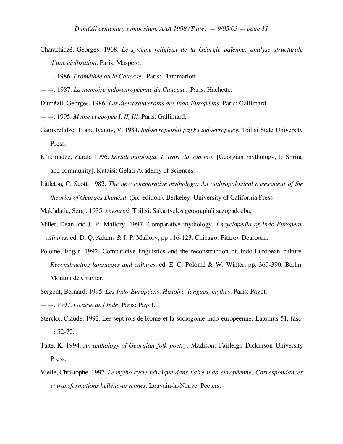- Charachidzé, Georges. 1968. *Le système religieux de la Géorgie païenne: analyse structurale d'une civilisation.* Paris: Maspero.
- ——. 1986. *Prométhée ou le Caucase.* Paris: Flammarion.
- ——. 1987. *La mémoire indo-européenne du Caucase.* Paris: Hachette.
- Dumézil, Georges. 1986. *Les dieux souverains des Indo-Européens.* Paris: Gallimard.
- ——. 1995. *Mythe et épopée I, II, III.* Paris: Gallimard.
- Gamkrelidze, T. and Ivanov, V. 1984. *Indoevropejskij jazyk i indoevropejcy*. Tbilisi State University Press.
- K'ik'nadze, Zurab. 1996. *kartuli mitologia, I. jvari da saq'mo.* [Georgian mythology, I. Shrine and community]. Kutaisi: Gelati Academy of Sciences.
- Littleton, C. Scott. 1982. *The new comparative mythology: An anthropological assessment of the theories of Georges Dumézil.* (3rd edition). Berkeley: University of California Press
- Mak'alatia, Sergi. 1935. *xevsureti.* Tbilisi: Sakartvelos geograpiuli sazogadoeba.
- Miller, Dean and J. P. Mallory. 1997. Comparative mythology. *Encyclopedia of Indo-European cultures,* ed. D. Q. Adams & J. P. Mallory, pp 116-123. Chicago: Fitzroy Dearborn.
- Polomé, Edgar. 1992. Comparative linguistics and the reconstruction of Indo-European culture. *Reconstructing languages and cultures*, ed. E. C. Polomé & W. Winter, pp. 369-390. Berlin: Mouton de Gruyter.
- Sergent, Bernard. 1995. *Les Indo-Européens. Histoire, langues, mythes.* Paris: Payot. ——. 1997. *Genèse de l'Inde.* Paris: Payot.
- Sterckx, Claude. 1992. Les sept rois de Rome et la sociogonie indo-européenne. Latomus 51, fasc. 1: 52-72.
- Tuite, K. 1994. *An anthology of Georgian folk poetry.* Madison: Fairleigh Dickinson University Press.
- Vielle, Christophe. 1997. *Le mytho-cycle héroïque dans l'aire indo-européenne. Correspondances et transformations helléno-aryennes.* Louvain-la-Neuve: Peeters.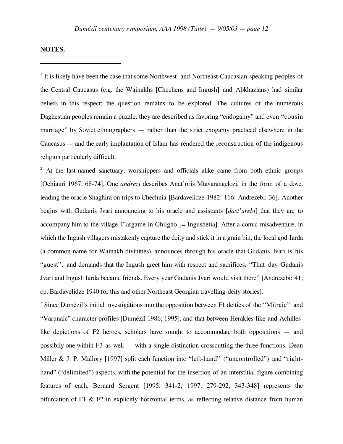## **NOTES.**

 $\overline{a}$ 

<sup>1</sup> It is likely have been the case that some Northwest- and Northeast-Caucasian-speaking peoples of the Central Caucasus (e.g. the Wainakhs [Chechens and Ingush] and Abkhazians) had similar beliefs in this respect; the question remains to be explored. The cultures of the numerous Daghestian peoples remain a puzzle: they are described as favoring "endogamy" and even "cousin marriage" by Soviet ethnographers — rather than the strict exogamy practiced elsewhere in the Caucasus — and the early implantation of Islam has rendered the reconstruction of the indigenous religion particularly difficult.

 $2$  At the last-named sanctuary, worshippers and officials alike came from both ethnic groups [Ochiauri 1967: 68-74]. One *andrezi* describes Anat'oris Mtavarangelozi, in the form of a dove, leading the oracle Shaghira on trips to Chechnia [Bardavelidze 1982: 116; Andrezebi: 36]. Another begins with Gudanis Jvari announcing to his oracle and assistants [*dast'urebi*] that they are to accompany him to the village T'argame in Ghilgho [= Ingushetia]. After a comic misadventure, in which the Ingush villagers mistakenly capture the deity and stick it in a grain bin, the local god Iarda (a common name for Wainakh divinities), announces through his oracle that Gudanis Jvari is his "guest", and demands that the Ingush greet him with respect and sacrifices. "That day Gudanis Jvari and Ingush Iarda became friends. Every year Gudanis Jvari would visit there" [Andrezebi: 41; cp. Bardavelidze 1940 for this and other Northeast Georgian travelling-deity stories].

 $3$  Since Dumézil's initial investigations into the opposition between F1 deities of the "Mitraic" and "Varunaic" character profiles [Dumézil 1986; 1995], and that between Herakles-like and Achilleslike depictions of F2 heroes, scholars have sought to accommodate both oppositions — and possibily one within F3 as well — with a single distinction crosscutting the three functions. Dean Miller & J. P. Mallory [1997] split each function into "left-hand" ("uncontrolled") and "righthand" ("delimited") aspects, with the potential for the insertion of an interstitial figure combining features of each. Bernard Sergent [1995: 341-2; 1997: 279-292, 343-348] represents the bifurcation of F1  $\&$  F2 in explicitly horizontal terms, as reflecting relative distance from human